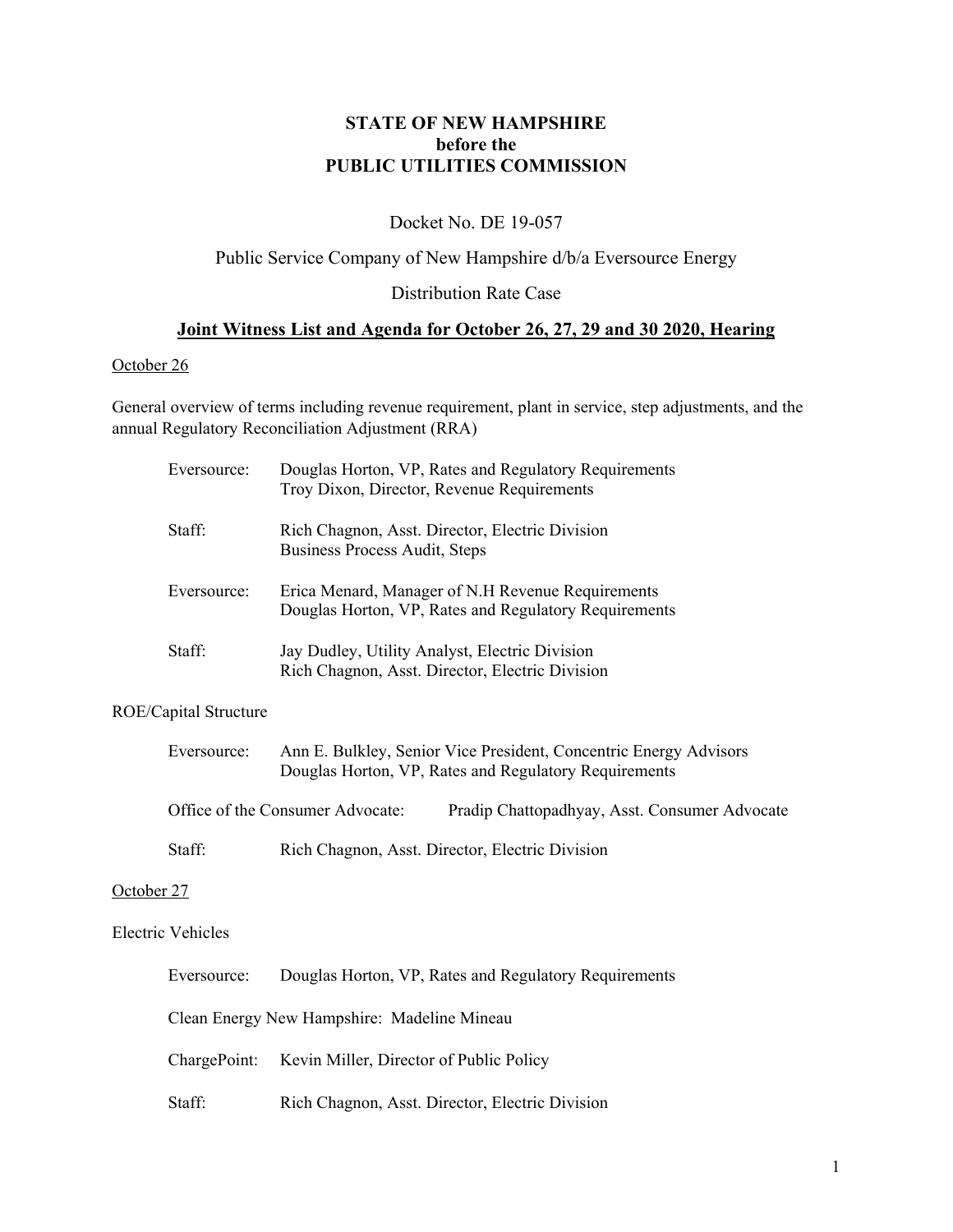# **STATE OF NEW HAMPSHIRE before the PUBLIC UTILITIES COMMISSION**

# Docket No. DE 19-057

### Public Service Company of New Hampshire d/b/a Eversource Energy

## Distribution Rate Case

## **Joint Witness List and Agenda for October 26, 27, 29 and 30 2020, Hearing**

#### October 26

General overview of terms including revenue requirement, plant in service, step adjustments, and the annual Regulatory Reconciliation Adjustment (RRA)

| Eversource: | Douglas Horton, VP, Rates and Regulatory Requirements<br>Troy Dixon, Director, Revenue Requirements        |
|-------------|------------------------------------------------------------------------------------------------------------|
| Staff:      | Rich Chagnon, Asst. Director, Electric Division<br>Business Process Audit, Steps                           |
| Eversource: | Erica Menard, Manager of N.H Revenue Requirements<br>Douglas Horton, VP, Rates and Regulatory Requirements |
| Staff:      | Jay Dudley, Utility Analyst, Electric Division<br>Rich Chagnon, Asst. Director, Electric Division          |

#### ROE/Capital Structure

| Eversource: |                                  | Ann E. Bulkley, Senior Vice President, Concentric Energy Advisors<br>Douglas Horton, VP, Rates and Regulatory Requirements |
|-------------|----------------------------------|----------------------------------------------------------------------------------------------------------------------------|
|             | Office of the Consumer Advocate: | Pradip Chattopadhyay, Asst. Consumer Advocate                                                                              |

# Staff: Rich Chagnon, Asst. Director, Electric Division

#### October 27

#### Electric Vehicles

| Eversource:                                 | Douglas Horton, VP, Rates and Regulatory Requirements |  |
|---------------------------------------------|-------------------------------------------------------|--|
| Clean Energy New Hampshire: Madeline Mineau |                                                       |  |
|                                             | ChargePoint: Kevin Miller, Director of Public Policy  |  |
| Staff:                                      | Rich Chagnon, Asst. Director, Electric Division       |  |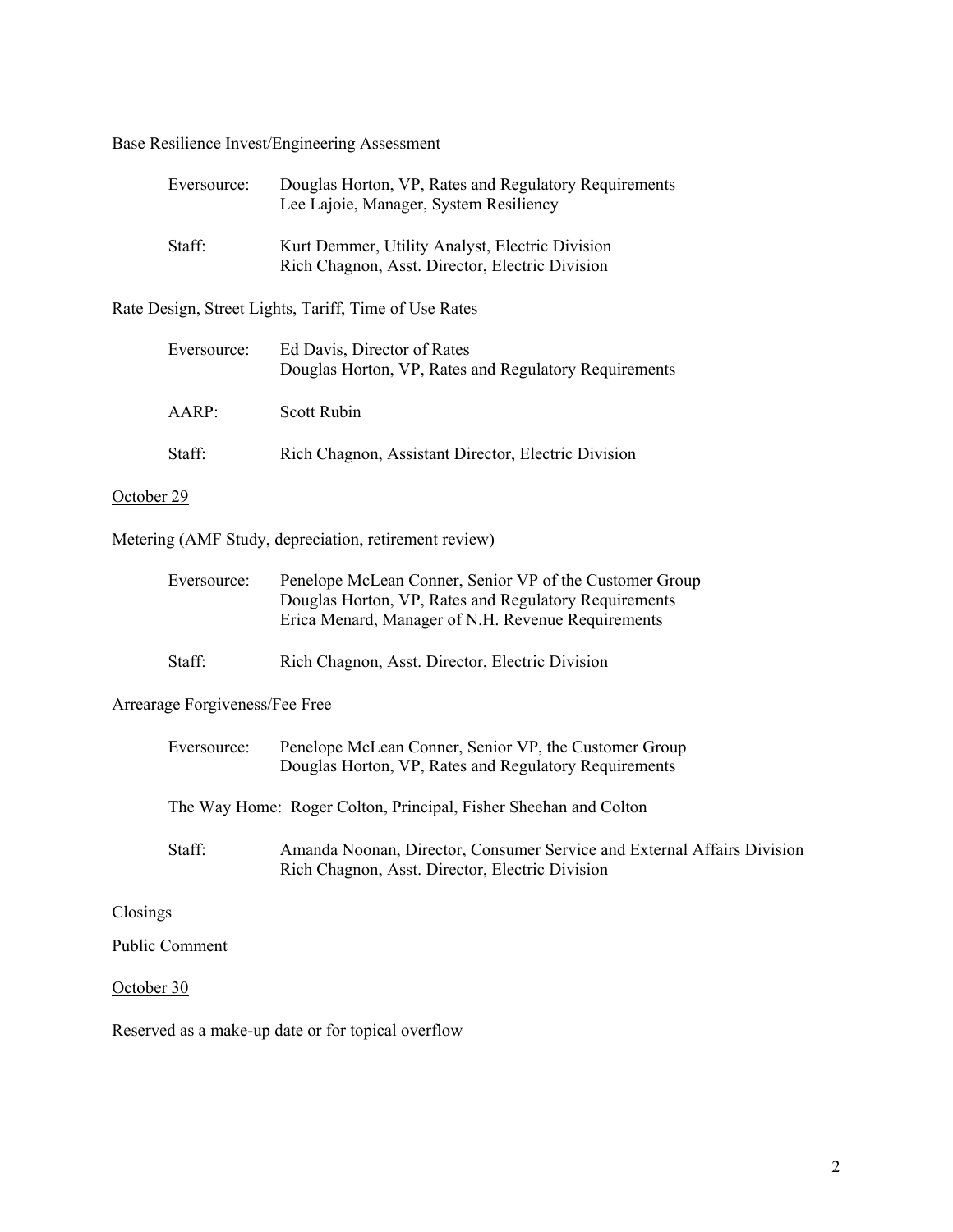Base Resilience Invest/Engineering Assessment

| Eversource: | Douglas Horton, VP, Rates and Regulatory Requirements<br>Lee Lajoie, Manager, System Resiliency    |
|-------------|----------------------------------------------------------------------------------------------------|
| Staff:      | Kurt Demmer, Utility Analyst, Electric Division<br>Rich Chagnon, Asst. Director, Electric Division |

Rate Design, Street Lights, Tariff, Time of Use Rates

| Eversource:    | Ed Davis, Director of Rates<br>Douglas Horton, VP, Rates and Regulatory Requirements |
|----------------|--------------------------------------------------------------------------------------|
| $A$ $AR$ $P$ : | Scott Rubin                                                                          |
| Staff:         | Rich Chagnon, Assistant Director, Electric Division                                  |

#### October 29

Metering (AMF Study, depreciation, retirement review)

| Eversource: | Penelope McLean Conner, Senior VP of the Customer Group |
|-------------|---------------------------------------------------------|
|             | Douglas Horton, VP, Rates and Regulatory Requirements   |
|             | Erica Menard, Manager of N.H. Revenue Requirements      |

Staff: Rich Chagnon, Asst. Director, Electric Division

### Arrearage Forgiveness/Fee Free

|            | Eversource:    | Penelope McLean Conner, Senior VP, the Customer Group<br>Douglas Horton, VP, Rates and Regulatory Requirements             |
|------------|----------------|----------------------------------------------------------------------------------------------------------------------------|
|            |                | The Way Home: Roger Colton, Principal, Fisher Sheehan and Colton                                                           |
|            | Staff:         | Amanda Noonan, Director, Consumer Service and External Affairs Division<br>Rich Chagnon, Asst. Director, Electric Division |
| Closings   |                |                                                                                                                            |
|            | Public Comment |                                                                                                                            |
| October 30 |                |                                                                                                                            |

Reserved as a make-up date or for topical overflow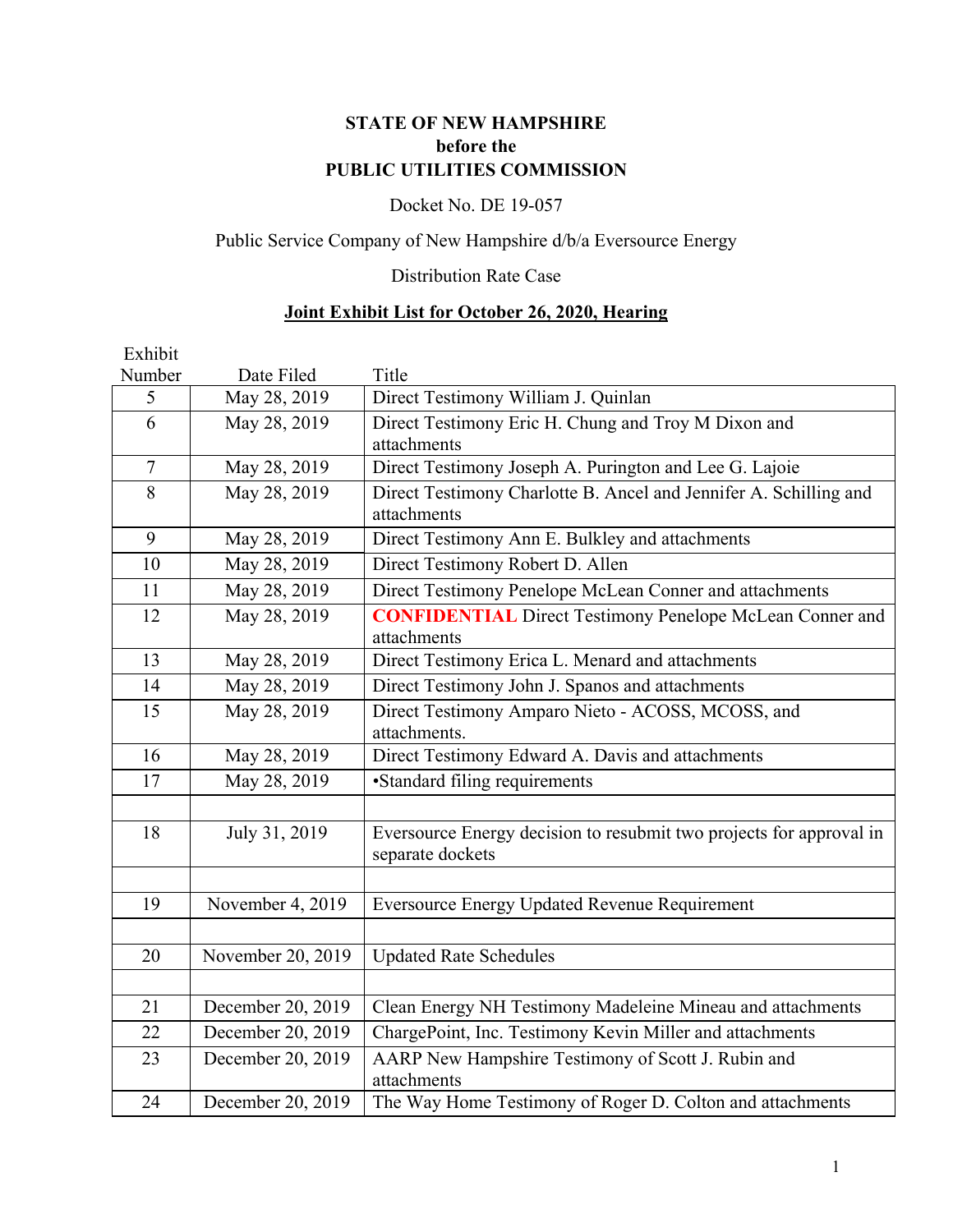# **STATE OF NEW HAMPSHIRE before the PUBLIC UTILITIES COMMISSION**

# Docket No. DE 19-057

# Public Service Company of New Hampshire d/b/a Eversource Energy

# Distribution Rate Case

# **Joint Exhibit List for October 26, 2020, Hearing**

| Exhibit        |                   |                                                                                         |
|----------------|-------------------|-----------------------------------------------------------------------------------------|
| Number         | Date Filed        | Title                                                                                   |
| 5              | May 28, 2019      | Direct Testimony William J. Quinlan                                                     |
| 6              | May 28, 2019      | Direct Testimony Eric H. Chung and Troy M Dixon and<br>attachments                      |
| $\overline{7}$ | May 28, 2019      | Direct Testimony Joseph A. Purington and Lee G. Lajoie                                  |
| 8              | May 28, 2019      | Direct Testimony Charlotte B. Ancel and Jennifer A. Schilling and<br>attachments        |
| 9              | May 28, 2019      | Direct Testimony Ann E. Bulkley and attachments                                         |
| 10             | May 28, 2019      | Direct Testimony Robert D. Allen                                                        |
| 11             | May 28, 2019      | Direct Testimony Penelope McLean Conner and attachments                                 |
| 12             | May 28, 2019      | <b>CONFIDENTIAL</b> Direct Testimony Penelope McLean Conner and<br>attachments          |
| 13             | May 28, 2019      | Direct Testimony Erica L. Menard and attachments                                        |
| 14             | May 28, 2019      | Direct Testimony John J. Spanos and attachments                                         |
| 15             | May 28, 2019      | Direct Testimony Amparo Nieto - ACOSS, MCOSS, and<br>attachments.                       |
| 16             | May 28, 2019      | Direct Testimony Edward A. Davis and attachments                                        |
| 17             | May 28, 2019      | •Standard filing requirements                                                           |
|                |                   |                                                                                         |
| 18             | July 31, 2019     | Eversource Energy decision to resubmit two projects for approval in<br>separate dockets |
|                |                   |                                                                                         |
| 19             | November 4, 2019  | <b>Eversource Energy Updated Revenue Requirement</b>                                    |
|                |                   |                                                                                         |
| 20             | November 20, 2019 | <b>Updated Rate Schedules</b>                                                           |
|                |                   |                                                                                         |
| 21             | December 20, 2019 | Clean Energy NH Testimony Madeleine Mineau and attachments                              |
| 22             | December 20, 2019 | ChargePoint, Inc. Testimony Kevin Miller and attachments                                |
| 23             | December 20, 2019 | AARP New Hampshire Testimony of Scott J. Rubin and<br>attachments                       |
| 24             | December 20, 2019 | The Way Home Testimony of Roger D. Colton and attachments                               |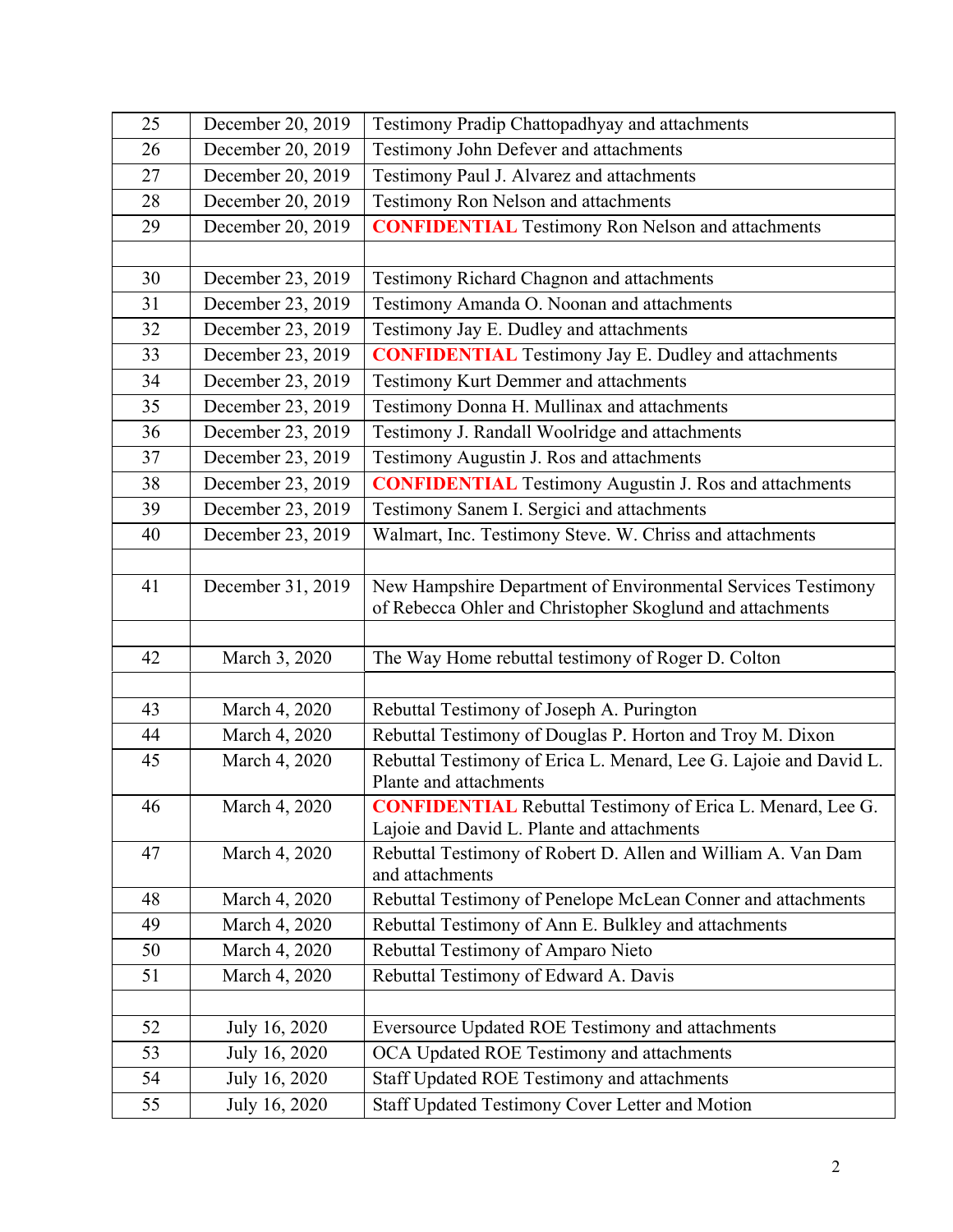| 25 | December 20, 2019 | Testimony Pradip Chattopadhyay and attachments                                                                            |
|----|-------------------|---------------------------------------------------------------------------------------------------------------------------|
| 26 | December 20, 2019 | Testimony John Defever and attachments                                                                                    |
| 27 | December 20, 2019 | Testimony Paul J. Alvarez and attachments                                                                                 |
| 28 | December 20, 2019 | Testimony Ron Nelson and attachments                                                                                      |
| 29 | December 20, 2019 | <b>CONFIDENTIAL</b> Testimony Ron Nelson and attachments                                                                  |
|    |                   |                                                                                                                           |
| 30 | December 23, 2019 | Testimony Richard Chagnon and attachments                                                                                 |
| 31 | December 23, 2019 | Testimony Amanda O. Noonan and attachments                                                                                |
| 32 | December 23, 2019 | Testimony Jay E. Dudley and attachments                                                                                   |
| 33 | December 23, 2019 | <b>CONFIDENTIAL</b> Testimony Jay E. Dudley and attachments                                                               |
| 34 | December 23, 2019 | <b>Testimony Kurt Demmer and attachments</b>                                                                              |
| 35 | December 23, 2019 | Testimony Donna H. Mullinax and attachments                                                                               |
| 36 | December 23, 2019 | Testimony J. Randall Woolridge and attachments                                                                            |
| 37 | December 23, 2019 | Testimony Augustin J. Ros and attachments                                                                                 |
| 38 | December 23, 2019 | <b>CONFIDENTIAL</b> Testimony Augustin J. Ros and attachments                                                             |
| 39 | December 23, 2019 | Testimony Sanem I. Sergici and attachments                                                                                |
| 40 | December 23, 2019 | Walmart, Inc. Testimony Steve. W. Chriss and attachments                                                                  |
|    |                   |                                                                                                                           |
| 41 | December 31, 2019 | New Hampshire Department of Environmental Services Testimony<br>of Rebecca Ohler and Christopher Skoglund and attachments |
|    |                   |                                                                                                                           |
| 42 | March 3, 2020     | The Way Home rebuttal testimony of Roger D. Colton                                                                        |
|    |                   |                                                                                                                           |
| 43 | March 4, 2020     | Rebuttal Testimony of Joseph A. Purington                                                                                 |
| 44 | March 4, 2020     | Rebuttal Testimony of Douglas P. Horton and Troy M. Dixon                                                                 |
| 45 | March 4, 2020     | Rebuttal Testimony of Erica L. Menard, Lee G. Lajoie and David L.<br>Plante and attachments                               |
| 46 | March 4, 2020     | <b>CONFIDENTIAL</b> Rebuttal Testimony of Erica L. Menard, Lee G.<br>Lajoie and David L. Plante and attachments           |
| 47 | March 4, 2020     | Rebuttal Testimony of Robert D. Allen and William A. Van Dam<br>and attachments                                           |
| 48 | March 4, 2020     | Rebuttal Testimony of Penelope McLean Conner and attachments                                                              |
| 49 | March 4, 2020     | Rebuttal Testimony of Ann E. Bulkley and attachments                                                                      |
| 50 | March 4, 2020     | Rebuttal Testimony of Amparo Nieto                                                                                        |
| 51 | March 4, 2020     | Rebuttal Testimony of Edward A. Davis                                                                                     |
|    |                   |                                                                                                                           |
| 52 | July 16, 2020     | Eversource Updated ROE Testimony and attachments                                                                          |
| 53 | July 16, 2020     | OCA Updated ROE Testimony and attachments                                                                                 |
| 54 |                   |                                                                                                                           |
|    | July 16, 2020     | Staff Updated ROE Testimony and attachments                                                                               |